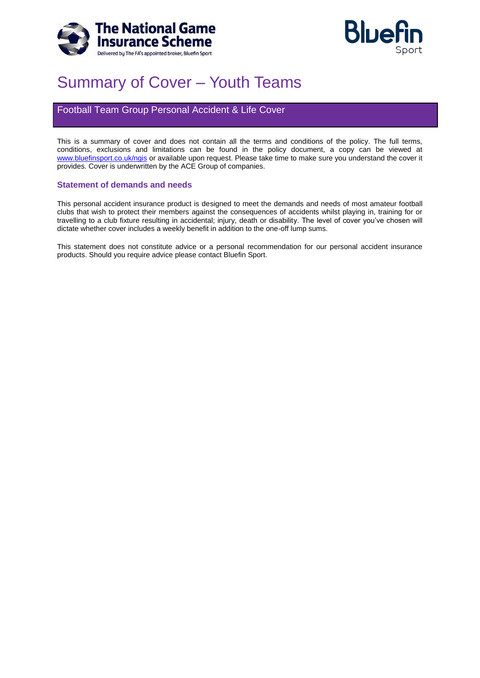



# Summary of Cover – Youth Teams

## Football Team Group Personal Accident & Life Cover

This is a summary of cover and does not contain all the terms and conditions of the policy. The full terms, conditions, exclusions and limitations can be found in the policy document, a copy can be viewed at [www.bluefinsport.co.uk/ngis](http://www.bluefinsport.co.uk/ngis) or available upon request. Please take time to make sure you understand the cover it provides. Cover is underwritten by the ACE Group of companies.

#### **Statement of demands and needs**

This personal accident insurance product is designed to meet the demands and needs of most amateur football clubs that wish to protect their members against the consequences of accidents whilst playing in, training for or travelling to a club fixture resulting in accidental; injury, death or disability. The level of cover you've chosen will dictate whether cover includes a weekly benefit in addition to the one-off lump sums.

This statement does not constitute advice or a personal recommendation for our personal accident insurance products. Should you require advice please contact Bluefin Sport.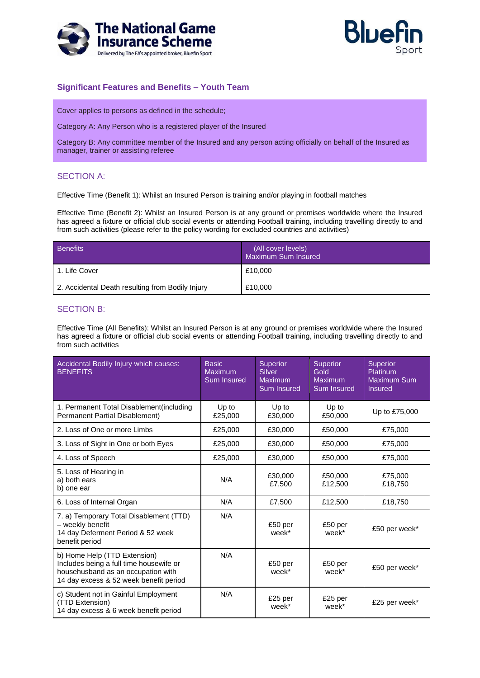



## **Significant Features and Benefits – Youth Team**

Cover applies to persons as defined in the schedule;

Category A: Any Person who is a registered player of the Insured

Category B: Any committee member of the Insured and any person acting officially on behalf of the Insured as manager, trainer or assisting referee

## SECTION A:

Effective Time (Benefit 1): Whilst an Insured Person is training and/or playing in football matches

Effective Time (Benefit 2): Whilst an Insured Person is at any ground or premises worldwide where the Insured has agreed a fixture or official club social events or attending Football training, including travelling directly to and from such activities (please refer to the policy wording for excluded countries and activities)

| <b>Benefits</b>                                  | (All cover levels)<br>Maximum Sum Insured |
|--------------------------------------------------|-------------------------------------------|
| 1. Life Cover                                    | £10,000                                   |
| 2. Accidental Death resulting from Bodily Injury | £10,000                                   |

## SECTION B:

Effective Time (All Benefits): Whilst an Insured Person is at any ground or premises worldwide where the Insured has agreed a fixture or official club social events or attending Football training, including travelling directly to and from such activities

| Accidental Bodily Injury which causes:<br><b>BENEFITS</b>                                                                                               | <b>Basic</b><br>Maximum<br>Sum Insured | <b>Superior</b><br><b>Silver</b><br><b>Maximum</b><br>Sum Insured | <b>Superior</b><br>Gold<br><b>Maximum</b><br><b>Sum Insured</b> | <b>Superior</b><br>Platinum<br><b>Maximum Sum</b><br><b>Insured</b> |
|---------------------------------------------------------------------------------------------------------------------------------------------------------|----------------------------------------|-------------------------------------------------------------------|-----------------------------------------------------------------|---------------------------------------------------------------------|
| 1. Permanent Total Disablement (including<br>Permanent Partial Disablement)                                                                             | Up to<br>£25,000                       | Up to<br>£30,000                                                  | Up to<br>£50,000                                                | Up to £75,000                                                       |
| 2. Loss of One or more Limbs                                                                                                                            | £25,000                                | £30,000                                                           | £50,000                                                         | £75,000                                                             |
| 3. Loss of Sight in One or both Eyes                                                                                                                    | £25,000                                | £30,000                                                           | £50,000                                                         | £75,000                                                             |
| 4. Loss of Speech                                                                                                                                       | £25,000                                | £30,000                                                           | £50,000                                                         | £75,000                                                             |
| 5. Loss of Hearing in<br>a) both ears<br>b) one ear                                                                                                     | N/A                                    | £30,000<br>£7.500                                                 | £50,000<br>£12.500                                              | £75,000<br>£18,750                                                  |
| 6. Loss of Internal Organ                                                                                                                               | N/A                                    | £7,500                                                            | £12,500                                                         | £18,750                                                             |
| 7. a) Temporary Total Disablement (TTD)<br>- weekly benefit<br>14 day Deferment Period & 52 week<br>benefit period                                      | N/A                                    | £50 per<br>week*                                                  | £50 per<br>week*                                                | £50 per week*                                                       |
| b) Home Help (TTD Extension)<br>Includes being a full time housewife or<br>househusband as an occupation with<br>14 day excess & 52 week benefit period | N/A                                    | £50 per<br>week*                                                  | £50 per<br>week*                                                | £50 per week*                                                       |
| c) Student not in Gainful Employment<br>(TTD Extension)<br>14 day excess & 6 week benefit period                                                        | N/A                                    | £25 per<br>week*                                                  | £25 per<br>week*                                                | £25 per week*                                                       |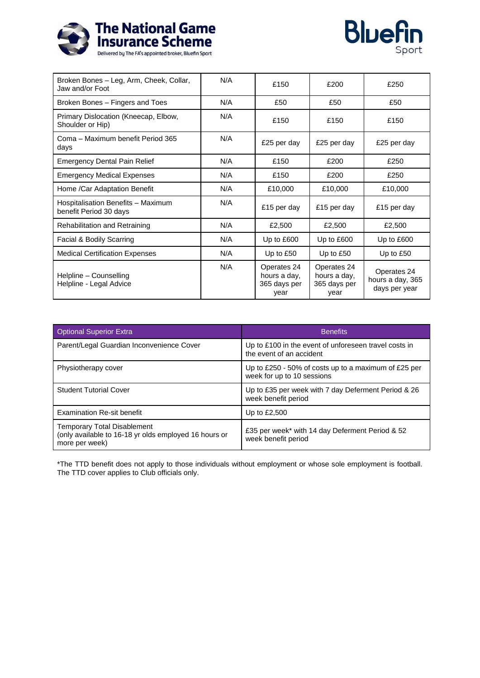



| Broken Bones - Leg, Arm, Cheek, Collar,<br>Jaw and/or Foot   | N/A | £150                                                | £200                                                | £250                                             |
|--------------------------------------------------------------|-----|-----------------------------------------------------|-----------------------------------------------------|--------------------------------------------------|
| Broken Bones - Fingers and Toes                              | N/A | £50                                                 | £50                                                 | £50                                              |
| Primary Dislocation (Kneecap, Elbow,<br>Shoulder or Hip)     | N/A | £150                                                | £150                                                | £150                                             |
| Coma – Maximum benefit Period 365<br>days                    | N/A | £25 per day                                         | £25 per day                                         | £25 per day                                      |
| <b>Emergency Dental Pain Relief</b>                          | N/A | £150                                                | £200                                                | £250                                             |
| <b>Emergency Medical Expenses</b>                            | N/A | £150                                                | £200                                                | £250                                             |
| Home /Car Adaptation Benefit                                 | N/A | £10,000                                             | £10,000                                             | £10,000                                          |
| Hospitalisation Benefits - Maximum<br>benefit Period 30 days | N/A | £15 per day                                         | £15 per day                                         | £15 per day                                      |
| Rehabilitation and Retraining                                | N/A | £2,500                                              | £2,500                                              | £2,500                                           |
| Facial & Bodily Scarring                                     | N/A | Up to £600                                          | Up to £600                                          | Up to £600                                       |
| <b>Medical Certification Expenses</b>                        | N/A | Up to £50                                           | Up to $£50$                                         | Up to £50                                        |
| Helpline - Counselling<br>Helpline - Legal Advice            | N/A | Operates 24<br>hours a day,<br>365 days per<br>year | Operates 24<br>hours a day,<br>365 days per<br>year | Operates 24<br>hours a day, 365<br>days per year |

| <b>Optional Superior Extra</b>                                                                                | <b>Benefits</b>                                                                    |
|---------------------------------------------------------------------------------------------------------------|------------------------------------------------------------------------------------|
| Parent/Legal Guardian Inconvenience Cover                                                                     | Up to £100 in the event of unforeseen travel costs in<br>the event of an accident  |
| Physiotherapy cover                                                                                           | Up to £250 - 50% of costs up to a maximum of £25 per<br>week for up to 10 sessions |
| <b>Student Tutorial Cover</b>                                                                                 | Up to £35 per week with 7 day Deferment Period & 26<br>week benefit period         |
| <b>Examination Re-sit benefit</b>                                                                             | Up to $£2,500$                                                                     |
| <b>Temporary Total Disablement</b><br>(only available to 16-18 yr olds employed 16 hours or<br>more per week) | £35 per week* with 14 day Deferment Period & 52<br>week benefit period             |

\*The TTD benefit does not apply to those individuals without employment or whose sole employment is football. The TTD cover applies to Club officials only.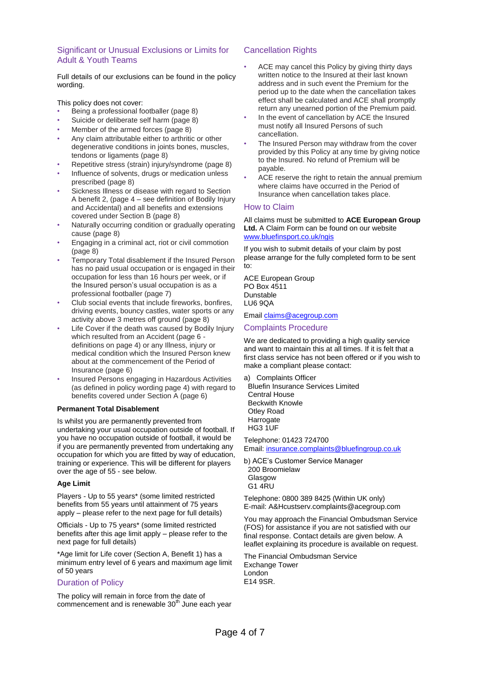## Significant or Unusual Exclusions or Limits for Adult & Youth Teams

Full details of our exclusions can be found in the policy wording.

This policy does not cover:

- Being a professional footballer (page 8)
- Suicide or deliberate self harm (page 8)
- Member of the armed forces (page 8)
- Any claim attributable either to arthritic or other degenerative conditions in joints bones, muscles, tendons or ligaments (page 8)
- Repetitive stress (strain) injury/syndrome (page 8)
- Influence of solvents, drugs or medication unless prescribed (page 8)
- Sickness Illness or disease with regard to Section A benefit 2, (page 4 – see definition of Bodily Injury and Accidental) and all benefits and extensions covered under Section B (page 8)
- Naturally occurring condition or gradually operating cause (page 8)
- Engaging in a criminal act, riot or civil commotion (page 8)
- Temporary Total disablement if the Insured Person has no paid usual occupation or is engaged in their occupation for less than 16 hours per week, or if the Insured person's usual occupation is as a professional footballer (page 7)
- Club social events that include fireworks, bonfires, driving events, bouncy castles, water sports or any activity above 3 metres off ground (page 8)
- Life Cover if the death was caused by Bodily Injury which resulted from an Accident (page 6 definitions on page 4) or any Illness, injury or medical condition which the Insured Person knew about at the commencement of the Period of Insurance (page 6)
- Insured Persons engaging in Hazardous Activities (as defined in policy wording page 4) with regard to benefits covered under Section A (page 6)

#### **Permanent Total Disablement**

Is whilst you are permanently prevented from undertaking your usual occupation outside of football. If you have no occupation outside of football, it would be if you are permanently prevented from undertaking any occupation for which you are fitted by way of education, training or experience. This will be different for players over the age of 55 - see below.

#### **Age Limit**

Players - Up to 55 years\* (some limited restricted benefits from 55 years until attainment of 75 years apply – please refer to the next page for full details)

Officials - Up to 75 years\* (some limited restricted benefits after this age limit apply – please refer to the next page for full details)

\*Age limit for Life cover (Section A, Benefit 1) has a minimum entry level of 6 years and maximum age limit of 50 years

## Duration of Policy

The policy will remain in force from the date of commencement and is renewable  $30<sup>th</sup>$  June each year

## Cancellation Rights

- ACE may cancel this Policy by giving thirty days written notice to the Insured at their last known address and in such event the Premium for the period up to the date when the cancellation takes effect shall be calculated and ACE shall promptly return any unearned portion of the Premium paid.
- In the event of cancellation by ACE the Insured must notify all Insured Persons of such cancellation.
- The Insured Person may withdraw from the cover provided by this Policy at any time by giving notice to the Insured. No refund of Premium will be payable.
- ACE reserve the right to retain the annual premium where claims have occurred in the Period of Insurance when cancellation takes place.

#### How to Claim

All claims must be submitted to **ACE European Group Ltd.** A Claim Form can be found on our website [www.bluefinsport.co.uk/ngis](http://www.bluefinsport.co.uk/ngis)

If you wish to submit details of your claim by post please arrange for the fully completed form to be sent to:

ACE European Group PO Box 4511 Dunstable LU6 9QA

Email claims@acegroup.com

#### Complaints Procedure

We are dedicated to providing a high quality service and want to maintain this at all times. If it is felt that a first class service has not been offered or if you wish to make a compliant please contact:

a) Complaints Officer

Bluefin Insurance Services Limited Central House Beckwith Knowle Otley Road **Harrogate** HG3 1UF

Telephone: 01423 724700 Email: insurance.complaints@bluefingroup.co.uk

b) ACE's Customer Service Manager 200 Broomielaw Glasgow G1 4RU

Telephone: 0800 389 8425 (Within UK only) E-mail: A&Hcustserv.complaints@acegroup.com

You may approach the Financial Ombudsman Service (FOS) for assistance if you are not satisfied with our final response. Contact details are given below. A leaflet explaining its procedure is available on request.

The Financial Ombudsman Service Exchange Tower London E14 9SR.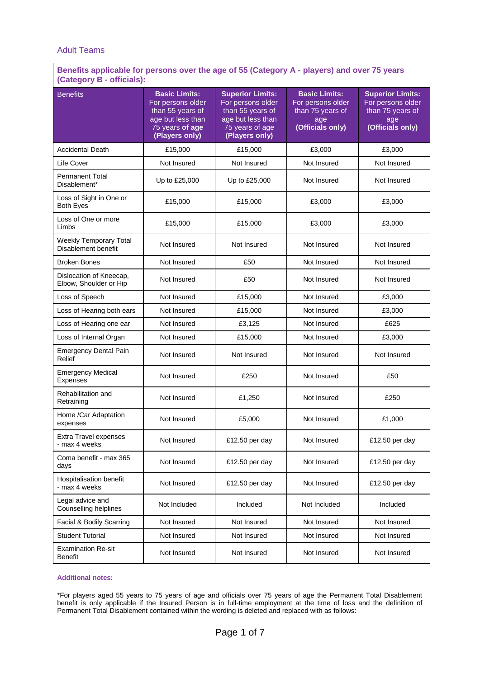## Adult Teams

## **Benefits applicable for persons over the age of 55 (Category A - players) and over 75 years (Category B - officials):**

| <b>Benefits</b>                                      | <b>Basic Limits:</b><br>For persons older<br>than 55 years of<br>age but less than<br>75 years of age<br>(Players only) | <b>Superior Limits:</b><br>For persons older<br>than 55 years of<br>age but less than<br>75 years of age<br>(Players only) | <b>Basic Limits:</b><br>For persons older<br>than 75 years of<br>age<br>(Officials only) | <b>Superior Limits:</b><br>For persons older<br>than 75 years of<br>age<br>(Officials only) |
|------------------------------------------------------|-------------------------------------------------------------------------------------------------------------------------|----------------------------------------------------------------------------------------------------------------------------|------------------------------------------------------------------------------------------|---------------------------------------------------------------------------------------------|
| <b>Accidental Death</b>                              | £15,000                                                                                                                 | £15,000                                                                                                                    | £3,000                                                                                   | £3,000                                                                                      |
| Life Cover                                           | Not Insured                                                                                                             | Not Insured                                                                                                                | Not Insured                                                                              | Not Insured                                                                                 |
| <b>Permanent Total</b><br>Disablement*               | Up to £25,000                                                                                                           | Up to £25,000                                                                                                              | Not Insured                                                                              | Not Insured                                                                                 |
| Loss of Sight in One or<br><b>Both Eyes</b>          | £15,000                                                                                                                 | £15,000                                                                                                                    | £3,000                                                                                   | £3,000                                                                                      |
| Loss of One or more<br>Limbs                         | £15,000                                                                                                                 | £15,000                                                                                                                    | £3,000                                                                                   | £3,000                                                                                      |
| <b>Weekly Temporary Total</b><br>Disablement benefit | Not Insured                                                                                                             | Not Insured                                                                                                                | Not Insured                                                                              | Not Insured                                                                                 |
| <b>Broken Bones</b>                                  | Not Insured                                                                                                             | £50                                                                                                                        | Not Insured                                                                              | Not Insured                                                                                 |
| Dislocation of Kneecap,<br>Elbow, Shoulder or Hip    | Not Insured                                                                                                             | £50                                                                                                                        | Not Insured                                                                              | Not Insured                                                                                 |
| Loss of Speech                                       | Not Insured                                                                                                             | £15,000                                                                                                                    | Not Insured                                                                              | £3,000                                                                                      |
| Loss of Hearing both ears                            | Not Insured                                                                                                             | £15,000                                                                                                                    | Not Insured                                                                              | £3,000                                                                                      |
| Loss of Hearing one ear                              | Not Insured                                                                                                             | £3,125                                                                                                                     | Not Insured                                                                              | £625                                                                                        |
| Loss of Internal Organ                               | Not Insured                                                                                                             | £15,000                                                                                                                    | Not Insured                                                                              | £3,000                                                                                      |
| <b>Emergency Dental Pain</b><br>Relief               | Not Insured                                                                                                             | Not Insured                                                                                                                | Not Insured                                                                              | Not Insured                                                                                 |
| <b>Emergency Medical</b><br><b>Expenses</b>          | Not Insured                                                                                                             | £250                                                                                                                       | Not Insured                                                                              | £50                                                                                         |
| Rehabilitation and<br>Retraining                     | Not Insured                                                                                                             | £1,250                                                                                                                     | Not Insured                                                                              | £250                                                                                        |
| Home /Car Adaptation<br>expenses                     | Not Insured                                                                                                             | £5,000                                                                                                                     | Not Insured                                                                              | £1,000                                                                                      |
| <b>Extra Travel expenses</b><br>max 4 weeks          | Not Insured                                                                                                             | £12.50 per day                                                                                                             | Not Insured                                                                              | £12.50 per day                                                                              |
| Coma benefit - max 365<br>days                       | Not Insured                                                                                                             | £12.50 per day                                                                                                             | Not Insured                                                                              | £12.50 per day                                                                              |
| <b>Hospitalisation benefit</b><br>- max 4 weeks      | Not Insured                                                                                                             | £12.50 per day                                                                                                             | Not Insured                                                                              | £12.50 per day                                                                              |
| Legal advice and<br>Counselling helplines            | Not Included                                                                                                            | Included                                                                                                                   | Not Included                                                                             | Included                                                                                    |
| Facial & Bodily Scarring                             | Not Insured                                                                                                             | Not Insured                                                                                                                | Not Insured                                                                              | Not Insured                                                                                 |
| <b>Student Tutorial</b>                              | Not Insured                                                                                                             | Not Insured                                                                                                                | Not Insured                                                                              | Not Insured                                                                                 |
| <b>Examination Re-sit</b><br><b>Benefit</b>          | Not Insured                                                                                                             | Not Insured                                                                                                                | Not Insured                                                                              | Not Insured                                                                                 |

#### **Additional notes:**

\*For players aged 55 years to 75 years of age and officials over 75 years of age the Permanent Total Disablement benefit is only applicable if the Insured Person is in full-time employment at the time of loss and the definition of Permanent Total Disablement contained within the wording is deleted and replaced with as follows: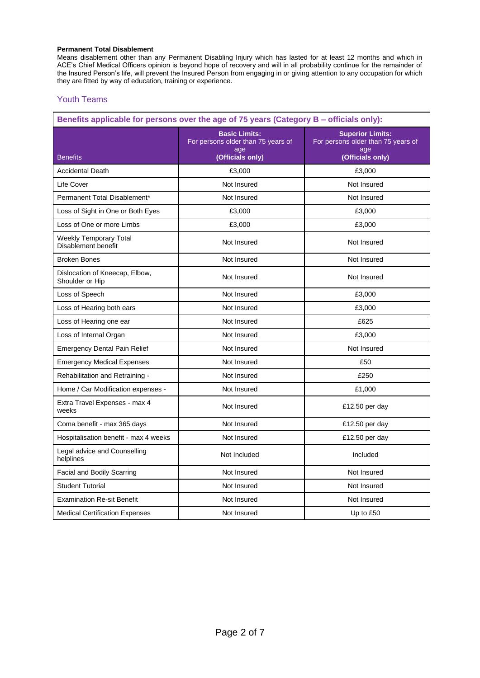### **Permanent Total Disablement**

Means disablement other than any Permanent Disabling Injury which has lasted for at least 12 months and which in ACE's Chief Medical Officers opinion is beyond hope of recovery and will in all probability continue for the remainder of the Insured Person's life, will prevent the Insured Person from engaging in or giving attention to any occupation for which they are fitted by way of education, training or experience.

## Youth Teams

| Benefits applicable for persons over the age of 75 years (Category B – officials only): |                                                                                       |                                                                                          |  |
|-----------------------------------------------------------------------------------------|---------------------------------------------------------------------------------------|------------------------------------------------------------------------------------------|--|
| <b>Benefits</b>                                                                         | <b>Basic Limits:</b><br>For persons older than 75 years of<br>age<br>(Officials only) | <b>Superior Limits:</b><br>For persons older than 75 years of<br>age<br>(Officials only) |  |
| <b>Accidental Death</b>                                                                 | £3,000                                                                                | £3,000                                                                                   |  |
| Life Cover                                                                              | Not Insured                                                                           | Not Insured                                                                              |  |
| Permanent Total Disablement*                                                            | Not Insured                                                                           | Not Insured                                                                              |  |
| Loss of Sight in One or Both Eyes                                                       | £3,000                                                                                | £3,000                                                                                   |  |
| Loss of One or more Limbs                                                               | £3,000                                                                                | £3,000                                                                                   |  |
| <b>Weekly Temporary Total</b><br>Disablement benefit                                    | Not Insured                                                                           | Not Insured                                                                              |  |
| <b>Broken Bones</b>                                                                     | Not Insured                                                                           | Not Insured                                                                              |  |
| Dislocation of Kneecap, Elbow,<br>Shoulder or Hip                                       | Not Insured                                                                           | Not Insured                                                                              |  |
| Loss of Speech                                                                          | Not Insured                                                                           | £3,000                                                                                   |  |
| Loss of Hearing both ears                                                               | Not Insured                                                                           | £3,000                                                                                   |  |
| Loss of Hearing one ear                                                                 | Not Insured                                                                           | £625                                                                                     |  |
| Loss of Internal Organ                                                                  | Not Insured                                                                           | £3,000                                                                                   |  |
| <b>Emergency Dental Pain Relief</b>                                                     | Not Insured                                                                           | Not Insured                                                                              |  |
| <b>Emergency Medical Expenses</b>                                                       | Not Insured                                                                           | £50                                                                                      |  |
| Rehabilitation and Retraining -                                                         | Not Insured                                                                           | £250                                                                                     |  |
| Home / Car Modification expenses -                                                      | Not Insured                                                                           | £1,000                                                                                   |  |
| Extra Travel Expenses - max 4<br>weeks                                                  | Not Insured                                                                           | £12.50 per day                                                                           |  |
| Coma benefit - max 365 days                                                             | Not Insured                                                                           | £12.50 per day                                                                           |  |
| Hospitalisation benefit - max 4 weeks                                                   | Not Insured                                                                           | £12.50 per day                                                                           |  |
| Legal advice and Counselling<br>helplines                                               | Not Included                                                                          | Included                                                                                 |  |
| <b>Facial and Bodily Scarring</b>                                                       | Not Insured                                                                           | Not Insured                                                                              |  |
| <b>Student Tutorial</b>                                                                 | Not Insured                                                                           | Not Insured                                                                              |  |
| <b>Examination Re-sit Benefit</b>                                                       | Not Insured                                                                           | Not Insured                                                                              |  |
| <b>Medical Certification Expenses</b>                                                   | Not Insured                                                                           | Up to £50                                                                                |  |